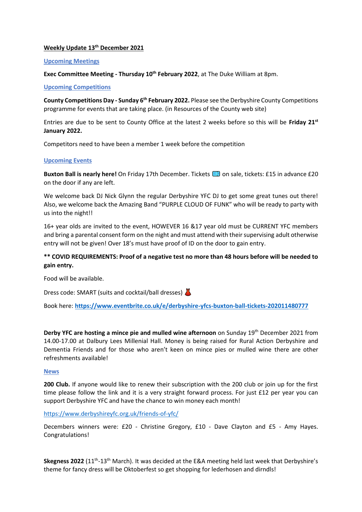## **Weekly Update 13th December 2021**

#### **Upcoming Meetings**

**Exec Committee Meeting - Thursday 10th February 2022**, at The Duke William at 8pm.

#### **Upcoming Competitions**

**County Competitions Day - Sunday 6th February 2022.** Please see the Derbyshire County Competitions programme for events that are taking place. (in Resources of the County web site)

Entries are due to be sent to County Office at the latest 2 weeks before so this will be **Friday 21st January 2022.**

Competitors need to have been a member 1 week before the competition

## **Upcoming Events**

**Buxton Ball is nearly here!** On Friday 17th December. Tickets **[30]** on sale, tickets: £15 in advance £20 on the door if any are left.

We welcome back DJ Nick Glynn the regular Derbyshire YFC DJ to get some great tunes out there! Also, we welcome back the Amazing Band "PURPLE CLOUD OF FUNK" who will be ready to party with us into the night!!

16+ year olds are invited to the event, HOWEVER 16 &17 year old must be CURRENT YFC members and bring a parental consent form on the night and must attend with their supervising adult otherwise entry will not be given! Over 18's must have proof of ID on the door to gain entry.

# **\*\* COVID REQUIREMENTS: Proof of a negative test no more than 48 hours before will be needed to gain entry.**

Food will be available.

Dress code: SMART (suits and cocktail/ball dresses)

Book here: **<https://www.eventbrite.co.uk/e/derbyshire-yfcs-buxton-ball-tickets-202011480777>**

**Derby YFC are hosting a mince pie and mulled wine afternoon** on Sunday 19th December 2021 from 14.00-17.00 at Dalbury Lees Millenial Hall. Money is being raised for Rural Action Derbyshire and Dementia Friends and for those who aren't keen on mince pies or mulled wine there are other refreshments available!

#### **News**

**200 Club.** If anyone would like to renew their subscription with the 200 club or join up for the first time please follow the link and it is a very straight forward process. For just £12 per year you can support Derbyshire YFC and have the chance to win money each month!

<https://www.derbyshireyfc.org.uk/friends-of-yfc/>

Decembers winners were: £20 - Christine Gregory, £10 - Dave Clayton and £5 - Amy Hayes. Congratulations!

Skegness 2022 (11<sup>th</sup>-13<sup>th</sup> March). It was decided at the E&A meeting held last week that Derbyshire's theme for fancy dress will be Oktoberfest so get shopping for lederhosen and dirndls!